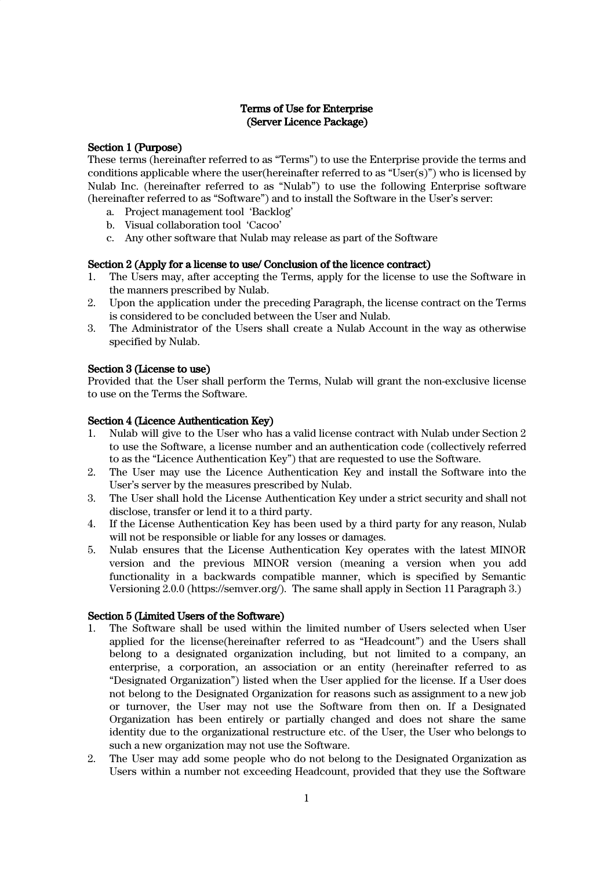# Terms of Use for Enterprise (Server Licence Package)

# Section 1 (Purpose)

These terms (hereinafter referred to as "Terms") to use the Enterprise provide the terms and conditions applicable where the user(hereinafter referred to as "User(s)") who is licensed by Nulab Inc. (hereinafter referred to as "Nulab") to use the following Enterprise software (hereinafter referred to as "Software") and to install the Software in the User's server:

- a. Project management tool 'Backlog'
- b. Visual collaboration tool 'Cacoo'
- c. Any other software that Nulab may release as part of the Software

# Section 2 (Apply for a license to use/ Conclusion of the licence contract)

- 1. The Users may, after accepting the Terms, apply for the license to use the Software in the manners prescribed by Nulab.
- 2. Upon the application under the preceding Paragraph, the license contract on the Terms is considered to be concluded between the User and Nulab.
- 3. The Administrator of the Users shall create a Nulab Account in the way as otherwise specified by Nulab.

# Section 3 (License to use)

Provided that the User shall perform the Terms, Nulab will grant the non-exclusive license to use on the Terms the Software.

# Section 4 (Licence Authentication Key)

- 1. Nulab will give to the User who has a valid license contract with Nulab under Section 2 to use the Software, a license number and an authentication code (collectively referred to as the "Licence Authentication Key") that are requested to use the Software.
- 2. The User may use the Licence Authentication Key and install the Software into the User's server by the measures prescribed by Nulab.
- 3. The User shall hold the License Authentication Key under a strict security and shall not disclose, transfer or lend it to a third party.
- 4. If the License Authentication Key has been used by a third party for any reason, Nulab will not be responsible or liable for any losses or damages.
- 5. Nulab ensures that the License Authentication Key operates with the latest MINOR version and the previous MINOR version (meaning a version when you add functionality in a backwards compatible manner, which is specified by Semantic Versioning 2.0.0 [\(https://semver.org/\)](https://semver.org/). The same shall apply in Section 11 Paragraph 3.)

# Section 5 (Limited Users of the Software)

- 1. The Software shall be used within the limited number of Users selected when User applied for the license(hereinafter referred to as "Headcount") and the Users shall belong to a designated organization including, but not limited to a company, an enterprise, a corporation, an association or an entity (hereinafter referred to as "Designated Organization") listed when the User applied for the license. If a User does not belong to the Designated Organization for reasons such as assignment to a new job or turnover, the User may not use the Software from then on. If a Designated Organization has been entirely or partially changed and does not share the same identity due to the organizational restructure etc. of the User, the User who belongs to such a new organization may not use the Software.
- 2. The User may add some people who do not belong to the Designated Organization as Users within a number not exceeding Headcount, provided that they use the Software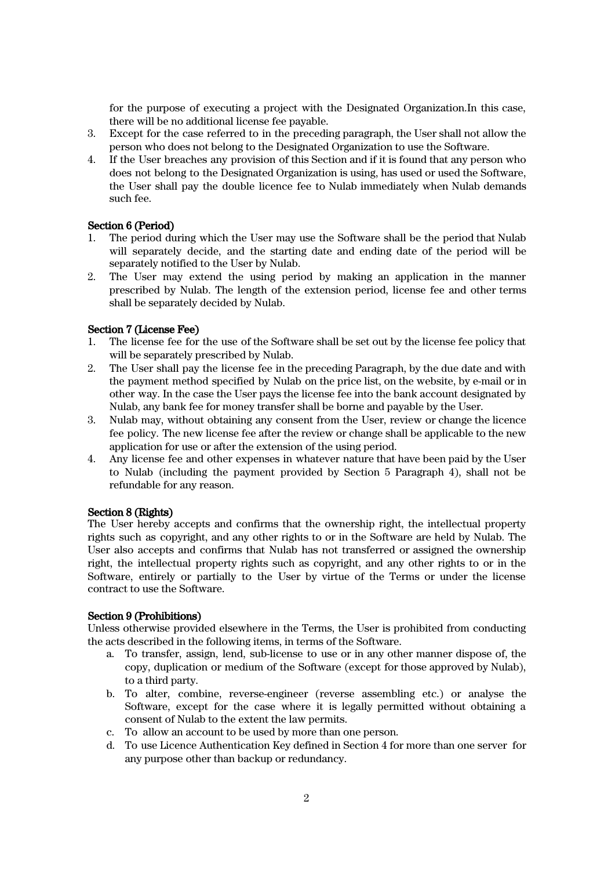for the purpose of executing a project with the Designated Organization.In this case, there will be no additional license fee payable.

- 3. Except for the case referred to in the preceding paragraph, the User shall not allow the person who does not belong to the Designated Organization to use the Software.
- 4. If the User breaches any provision of this Section and if it is found that any person who does not belong to the Designated Organization is using, has used or used the Software, the User shall pay the double licence fee to Nulab immediately when Nulab demands such fee.

# Section 6 (Period)

- 1. The period during which the User may use the Software shall be the period that Nulab will separately decide, and the starting date and ending date of the period will be separately notified to the User by Nulab.
- 2. The User may extend the using period by making an application in the manner prescribed by Nulab. The length of the extension period, license fee and other terms shall be separately decided by Nulab.

# Section 7 (License Fee)

- 1. The license fee for the use of the Software shall be set out by the license fee policy that will be separately prescribed by Nulab.
- 2. The User shall pay the license fee in the preceding Paragraph, by the due date and with the payment method specified by Nulab on the price list, on the website, by e-mail or in other way. In the case the User pays the license fee into the bank account designated by Nulab, any bank fee for money transfer shall be borne and payable by the User.
- 3. Nulab may, without obtaining any consent from the User, review or change the licence fee policy. The new license fee after the review or change shall be applicable to the new application for use or after the extension of the using period.
- 4. Any license fee and other expenses in whatever nature that have been paid by the User to Nulab (including the payment provided by Section 5 Paragraph 4), shall not be refundable for any reason.

#### Section 8 (Rights)

The User hereby accepts and confirms that the ownership right, the intellectual property rights such as copyright, and any other rights to or in the Software are held by Nulab. The User also accepts and confirms that Nulab has not transferred or assigned the ownership right, the intellectual property rights such as copyright, and any other rights to or in the Software, entirely or partially to the User by virtue of the Terms or under the license contract to use the Software.

# Section 9 (Prohibitions)

Unless otherwise provided elsewhere in the Terms, the User is prohibited from conducting the acts described in the following items, in terms of the Software.

- a. To transfer, assign, lend, sub-license to use or in any other manner dispose of, the copy, duplication or medium of the Software (except for those approved by Nulab), to a third party.
- b. To alter, combine, reverse-engineer (reverse assembling etc.) or analyse the Software, except for the case where it is legally permitted without obtaining a consent of Nulab to the extent the law permits.
- c. To allow an account to be used by more than one person.
- d. To use Licence Authentication Key defined in Section 4 for more than one server for any purpose other than backup or redundancy.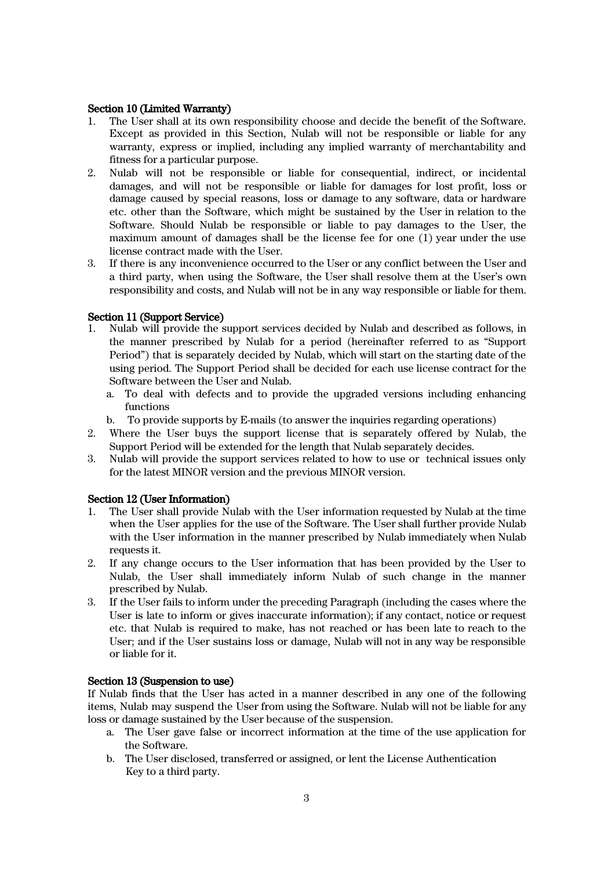#### Section 10 (Limited Warranty)

- 1. The User shall at its own responsibility choose and decide the benefit of the Software. Except as provided in this Section, Nulab will not be responsible or liable for any warranty, express or implied, including any implied warranty of merchantability and fitness for a particular purpose.
- 2. Nulab will not be responsible or liable for consequential, indirect, or incidental damages, and will not be responsible or liable for damages for lost profit, loss or damage caused by special reasons, loss or damage to any software, data or hardware etc. other than the Software, which might be sustained by the User in relation to the Software. Should Nulab be responsible or liable to pay damages to the User, the maximum amount of damages shall be the license fee for one (1) year under the use license contract made with the User.
- 3. If there is any inconvenience occurred to the User or any conflict between the User and a third party, when using the Software, the User shall resolve them at the User's own responsibility and costs, and Nulab will not be in any way responsible or liable for them.

# Section 11 (Support Service)<br>1. Nulab will provide the s

- 1. Nulab will provide the support services decided by Nulab and described as follows, in the manner prescribed by Nulab for a period (hereinafter referred to as "Support Period") that is separately decided by Nulab, which will start on the starting date of the using period. The Support Period shall be decided for each use license contract for the Software between the User and Nulab.
	- a. To deal with defects and to provide the upgraded versions including enhancing functions
	- b. To provide supports by E-mails (to answer the inquiries regarding operations)
- 2. Where the User buys the support license that is separately offered by Nulab, the Support Period will be extended for the length that Nulab separately decides.
- 3. Nulab will provide the support services related to how to use or technical issues only for the latest MINOR version and the previous MINOR version.

#### Section 12 (User Information)

- 1. The User shall provide Nulab with the User information requested by Nulab at the time when the User applies for the use of the Software. The User shall further provide Nulab with the User information in the manner prescribed by Nulab immediately when Nulab requests it.
- 2. If any change occurs to the User information that has been provided by the User to Nulab, the User shall immediately inform Nulab of such change in the manner prescribed by Nulab.
- 3. If the User fails to inform under the preceding Paragraph (including the cases where the User is late to inform or gives inaccurate information); if any contact, notice or request etc. that Nulab is required to make, has not reached or has been late to reach to the User; and if the User sustains loss or damage, Nulab will not in any way be responsible or liable for it.

#### Section 13 (Suspension to use)

If Nulab finds that the User has acted in a manner described in any one of the following items, Nulab may suspend the User from using the Software. Nulab will not be liable for any loss or damage sustained by the User because of the suspension.

- a. The User gave false or incorrect information at the time of the use application for the Software.
- b. The User disclosed, transferred or assigned, or lent the License Authentication Key to a third party.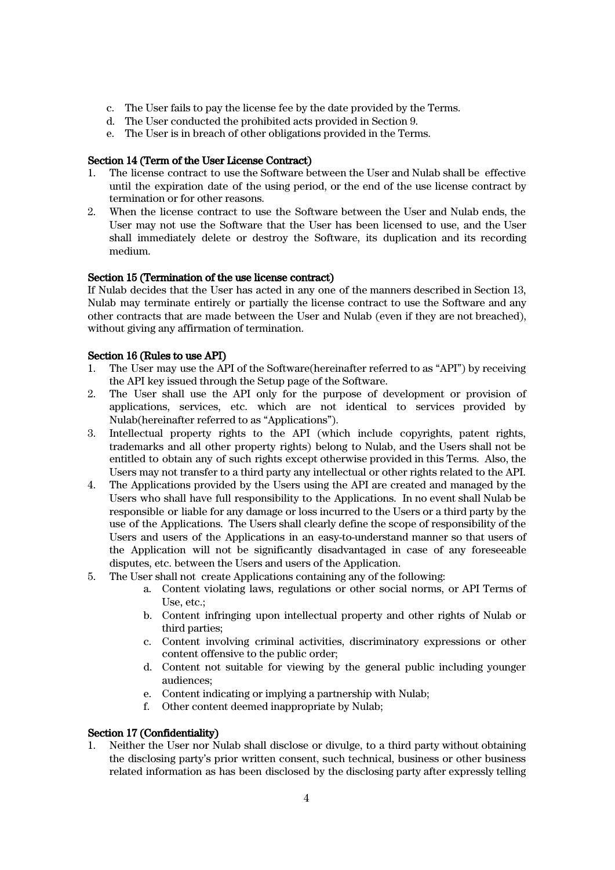- c. The User fails to pay the license fee by the date provided by the Terms.
- d. The User conducted the prohibited acts provided in Section 9.
- e. The User is in breach of other obligations provided in the Terms.

# Section 14 (Term of the User License Contract)

- 1. The license contract to use the Software between the User and Nulab shall be effective until the expiration date of the using period, or the end of the use license contract by termination or for other reasons.
- 2. When the license contract to use the Software between the User and Nulab ends, the User may not use the Software that the User has been licensed to use, and the User shall immediately delete or destroy the Software, its duplication and its recording medium.

# Section 15 (Termination of the use license contract)

If Nulab decides that the User has acted in any one of the manners described in Section 13, Nulab may terminate entirely or partially the license contract to use the Software and any other contracts that are made between the User and Nulab (even if they are not breached), without giving any affirmation of termination.

# Section 16 (Rules to use API)

- 1. The User may use the API of the Software(hereinafter referred to as "API") by receiving the API key issued through the Setup page of the Software.
- 2. The User shall use the API only for the purpose of development or provision of applications, services, etc. which are not identical to services provided by Nulab(hereinafter referred to as "Applications").
- 3. Intellectual property rights to the API (which include copyrights, patent rights, trademarks and all other property rights) belong to Nulab, and the Users shall not be entitled to obtain any of such rights except otherwise provided in this Terms. Also, the Users may not transfer to a third party any intellectual or other rights related to the API.
- 4. The Applications provided by the Users using the API are created and managed by the Users who shall have full responsibility to the Applications. In no event shall Nulab be responsible or liable for any damage or loss incurred to the Users or a third party by the use of the Applications. The Users shall clearly define the scope of responsibility of the Users and users of the Applications in an easy-to-understand manner so that users of the Application will not be significantly disadvantaged in case of any foreseeable disputes, etc. between the Users and users of the Application.
- 5. The User shall not create Applications containing any of the following:
	- a. Content violating laws, regulations or other social norms, or API Terms of Use, etc.;
	- b. Content infringing upon intellectual property and other rights of Nulab or third parties;
	- c. Content involving criminal activities, discriminatory expressions or other content offensive to the public order;
	- d. Content not suitable for viewing by the general public including younger audiences;
	- e. Content indicating or implying a partnership with Nulab;
	- f. Other content deemed inappropriate by Nulab;

# Section 17 (Confidentiality)

1. Neither the User nor Nulab shall disclose or divulge, to a third party without obtaining the disclosing party's prior written consent, such technical, business or other business related information as has been disclosed by the disclosing party after expressly telling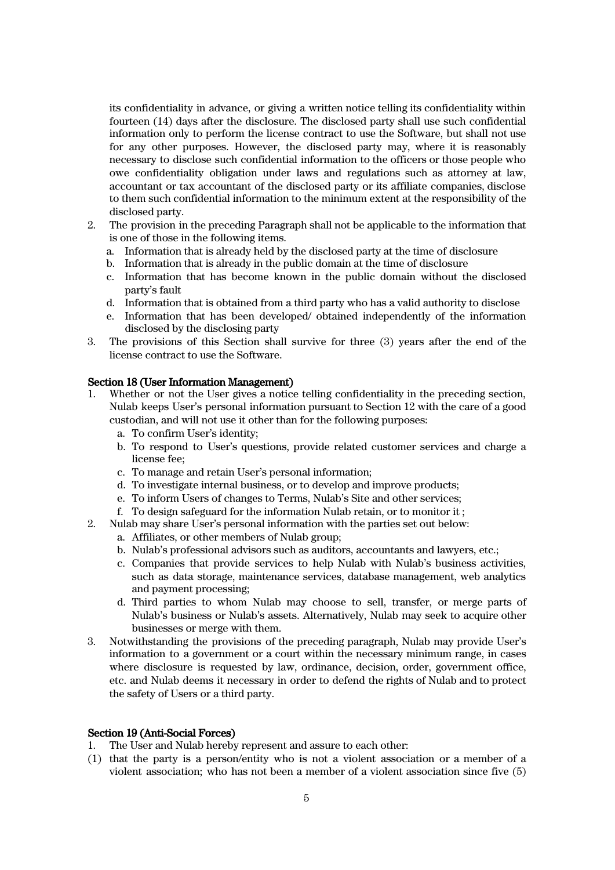its confidentiality in advance, or giving a written notice telling its confidentiality within fourteen (14) days after the disclosure. The disclosed party shall use such confidential information only to perform the license contract to use the Software, but shall not use for any other purposes. However, the disclosed party may, where it is reasonably necessary to disclose such confidential information to the officers or those people who owe confidentiality obligation under laws and regulations such as attorney at law, accountant or tax accountant of the disclosed party or its affiliate companies, disclose to them such confidential information to the minimum extent at the responsibility of the disclosed party.

- 2. The provision in the preceding Paragraph shall not be applicable to the information that is one of those in the following items.
	- a. Information that is already held by the disclosed party at the time of disclosure
	- b. Information that is already in the public domain at the time of disclosure
	- c. Information that has become known in the public domain without the disclosed party's fault
	- d. Information that is obtained from a third party who has a valid authority to disclose
	- e. Information that has been developed/ obtained independently of the information disclosed by the disclosing party
- 3. The provisions of this Section shall survive for three (3) years after the end of the license contract to use the Software.

#### Section 18 (User Information Management)

- 1. Whether or not the User gives a notice telling confidentiality in the preceding section, Nulab keeps User's personal information pursuant to Section 12 with the care of a good custodian, and will not use it other than for the following purposes:
	- a. To confirm User's identity;
	- b. To respond to User's questions, provide related customer services and charge a license fee;
	- c. To manage and retain User's personal information;
	- d. To investigate internal business, or to develop and improve products;
	- e. To inform Users of changes to Terms, Nulab's Site and other services;
	- f. To design safeguard for the information Nulab retain, or to monitor it ;
- 2. Nulab may share User's personal information with the parties set out below:
	- a. Affiliates, or other members of Nulab group;
	- b. Nulab's professional advisors such as auditors, accountants and lawyers, etc.;
	- c. Companies that provide services to help Nulab with Nulab's business activities, such as data storage, maintenance services, database management, web analytics and payment processing;
	- d. Third parties to whom Nulab may choose to sell, transfer, or merge parts of Nulab's business or Nulab's assets. Alternatively, Nulab may seek to acquire other businesses or merge with them.
- 3. Notwithstanding the provisions of the preceding paragraph, Nulab may provide User's information to a government or a court within the necessary minimum range, in cases where disclosure is requested by law, ordinance, decision, order, government office, etc. and Nulab deems it necessary in order to defend the rights of Nulab and to protect the safety of Users or a third party.

#### Section 19 (Anti-Social Forces)

- 1. The User and Nulab hereby represent and assure to each other:
- (1) that the party is a person/entity who is not a violent association or a member of a violent association; who has not been a member of a violent association since five (5)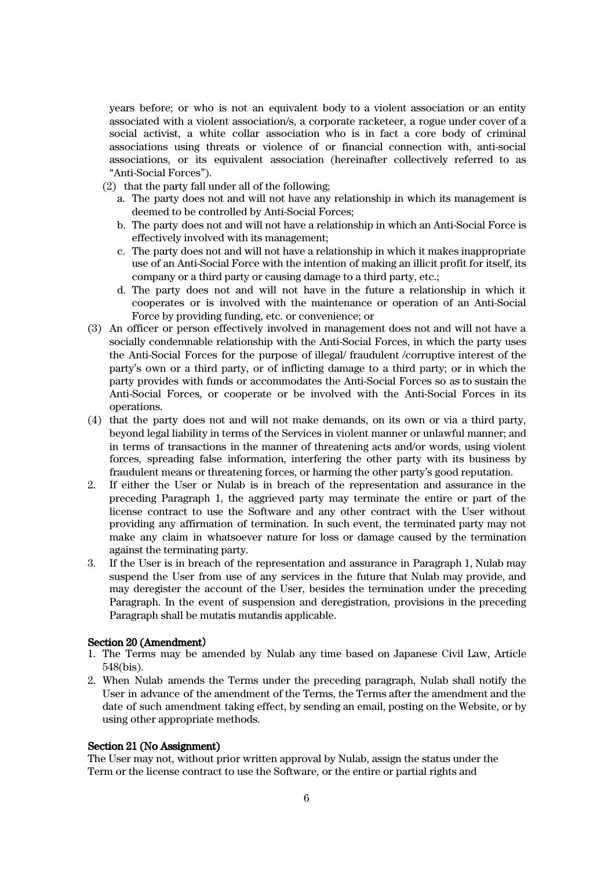years before; or who is not an equivalent body to a violent association or an entity associated with a violent association/s, a corporate racketeer, a rogue under cover of a social activist, a white collar association who is in fact a core body of criminal associations using threats or violence of or financial connection with, anti-social associations, or its equivalent association (hereinafter collectively referred to as "Anti-Social Forces").

- (2) that the party fall under all of the following;
	- a. The party does not and will not have any relationship in which its management is deemed to be controlled by Anti-Social Forces;
	- b. The party does not and will not have a relationship in which an Anti-Social Force is effectively involved with its management;
	- c. The party does not and will not have a relationship in which it makes inappropriate use of an Anti-Social Force with the intention of making an illicit profit for itself, its company or a third party or causing damage to a third party, etc.;
	- d. The party does not and will not have in the future a relationship in which it cooperates or is involved with the maintenance or operation of an Anti-Social Force by providing funding, etc. or convenience; or
- (3) An officer or person effectively involved in management does not and will not have a socially condemnable relationship with the Anti-Social Forces, in which the party uses the Anti-Social Forces for the purpose of illegal/ fraudulent /corruptive interest of the party's own or a third party, or of inflicting damage to a third party; or in which the party provides with funds or accommodates the Anti-Social Forces so as to sustain the Anti-Social Forces, or cooperate or be involved with the Anti-Social Forces in its operations.
- (4) that the party does not and will not make demands, on its own or via a third party, beyond legal liability in terms of the Services in violent manner or unlawful manner; and in terms of transactions in the manner of threatening acts and/or words, using violent forces, spreading false information, interfering the other party with its business by fraudulent means or threatening forces, or harming the other party's good reputation.
- 2. If either the User or Nulab is in breach of the representation and assurance in the preceding Paragraph 1, the aggrieved party may terminate the entire or part of the license contract to use the Software and any other contract with the User without providing any affirmation of termination. In such event, the terminated party may not make any claim in whatsoever nature for loss or damage caused by the termination against the terminating party.
- 3. If the User is in breach of the representation and assurance in Paragraph 1, Nulab may suspend the User from use of any services in the future that Nulab may provide, and may deregister the account of the User, besides the termination under the preceding Paragraph. In the event of suspension and deregistration, provisions in the preceding Paragraph shall be mutatis mutandis applicable.

#### Section 20 (Amendment)

- 1. The Terms may be amended by Nulab any time based on Japanese Civil Law, Article 548(bis).
- 2. When Nulab amends the Terms under the preceding paragraph, Nulab shall notify the User in advance of the amendment of the Terms, the Terms after the amendment and the date of such amendment taking effect, by sending an email, posting on the Website, or by using other appropriate methods.

#### Section 21 (No Assignment)

The User may not, without prior written approval by Nulab, assign the status under the Term or the license contract to use the Software, or the entire or partial rights and